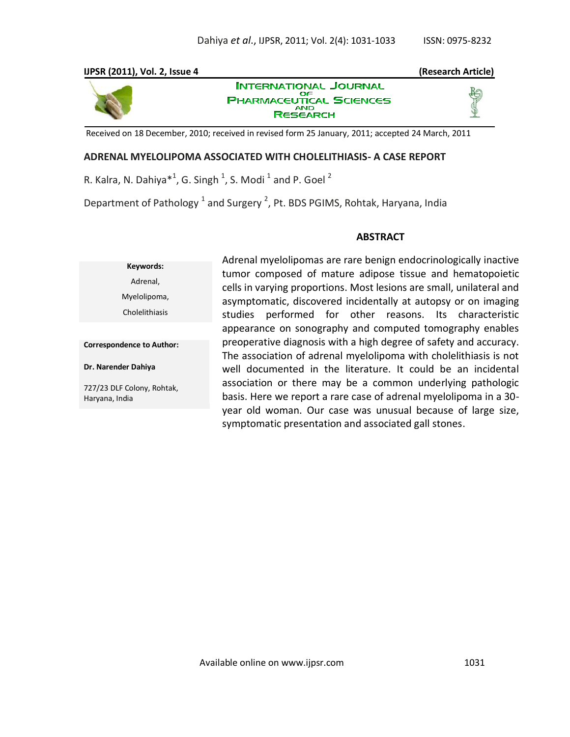## **IJPSR (2011), Vol. 2, Issue 4 (Research Article)**



**INTERNATIONAL JOURNAL** ОF **PHARMACEUTICAL SCIENCES RESEARCH** 



Received on 18 December, 2010; received in revised form 25 January, 2011; accepted 24 March, 2011

### **ADRENAL MYELOLIPOMA ASSOCIATED WITH CHOLELITHIASIS- A CASE REPORT**

R. Kalra, N. Dahiya $^{*1}$ , G. Singh  $^{1}$ , S. Modi  $^{1}$  and P. Goel  $^{2}$ 

Department of Pathology  $^1$  and Surgery  $^2$ , Pt. BDS PGIMS, Rohtak, Haryana, India

#### **ABSTRACT**

**Keywords:** Adrenal, Myelolipoma, Cholelithiasis

**Correspondence to Author:**

#### **Dr. Narender Dahiya**

727/23 DLF Colony, Rohtak, Haryana, India

Adrenal myelolipomas are rare benign endocrinologically inactive tumor composed of mature adipose tissue and hematopoietic cells in varying proportions. Most lesions are small, unilateral and asymptomatic, discovered incidentally at autopsy or on imaging studies performed for other reasons. Its characteristic appearance on sonography and computed tomography enables preoperative diagnosis with a high degree of safety and accuracy. The association of adrenal myelolipoma with cholelithiasis is not well documented in the literature. It could be an incidental association or there may be a common underlying pathologic basis. Here we report a rare case of adrenal myelolipoma in a 30 year old woman. Our case was unusual because of large size, symptomatic presentation and associated gall stones.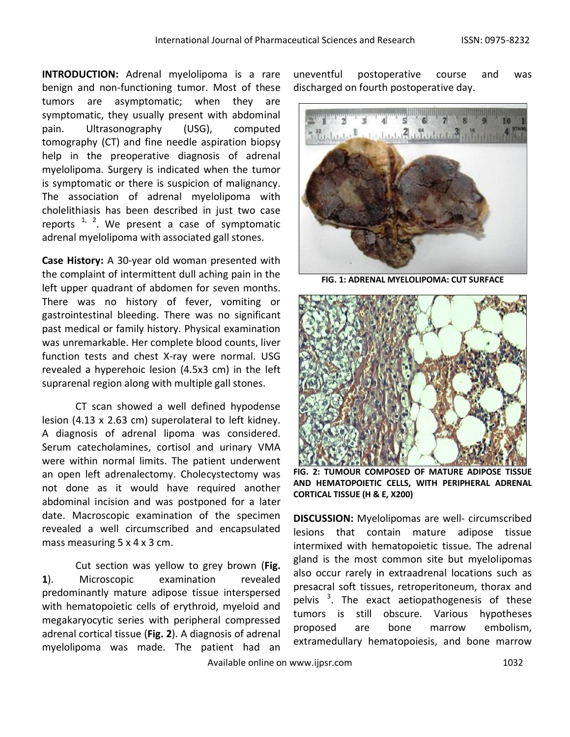**INTRODUCTION:** Adrenal myelolipoma is a rare benign and non-functioning tumor. Most of these tumors are asymptomatic; when they are symptomatic, they usually present with abdominal pain. Ultrasonography (USG), computed tomography (CT) and fine needle aspiration biopsy help in the preoperative diagnosis of adrenal myelolipoma. Surgery is indicated when the tumor is symptomatic or there is suspicion of malignancy. The association of adrenal myelolipoma with cholelithiasis has been described in just two case reports  $1/2$ . We present a case of symptomatic adrenal myelolipoma with associated gall stones.

**Case History:** A 30-year old woman presented with the complaint of intermittent dull aching pain in the left upper quadrant of abdomen for seven months. There was no history of fever, vomiting or gastrointestinal bleeding. There was no significant past medical or family history. Physical examination was unremarkable. Her complete blood counts, liver function tests and chest X-ray were normal. USG revealed a hyperehoic lesion (4.5x3 cm) in the left suprarenal region along with multiple gall stones.

CT scan showed a well defined hypodense lesion (4.13 x 2.63 cm) superolateral to left kidney. A diagnosis of adrenal lipoma was considered. Serum catecholamines, cortisol and urinary VMA were within normal limits. The patient underwent an open left adrenalectomy. Cholecystectomy was not done as it would have required another abdominal incision and was postponed for a later date. Macroscopic examination of the specimen revealed a well circumscribed and encapsulated mass measuring 5 x 4 x 3 cm.

Cut section was yellow to grey brown (**Fig. 1**). Microscopic examination revealed predominantly mature adipose tissue interspersed with hematopoietic cells of erythroid, myeloid and megakaryocytic series with peripheral compressed adrenal cortical tissue (**Fig. 2**). A diagnosis of adrenal myelolipoma was made. The patient had an uneventful postoperative course and was discharged on fourth postoperative day.



**FIG. 1: ADRENAL MYELOLIPOMA: CUT SURFACE**



**FIG. 2: TUMOUR COMPOSED OF MATURE ADIPOSE TISSUE AND HEMATOPOIETIC CELLS, WITH PERIPHERAL ADRENAL CORTICAL TISSUE (H & E, X200)**

**DISCUSSION:** Myelolipomas are well- circumscribed lesions that contain mature adipose tissue intermixed with hematopoietic tissue. The adrenal gland is the most common site but myelolipomas also occur rarely in extraadrenal locations such as presacral soft tissues, retroperitoneum, thorax and pelvis <sup>3</sup>. The exact aetiopathogenesis of these tumors is still obscure. Various hypotheses proposed are bone marrow embolism, extramedullary hematopoiesis, and bone marrow

Available online on www.ijpsr.com 1032